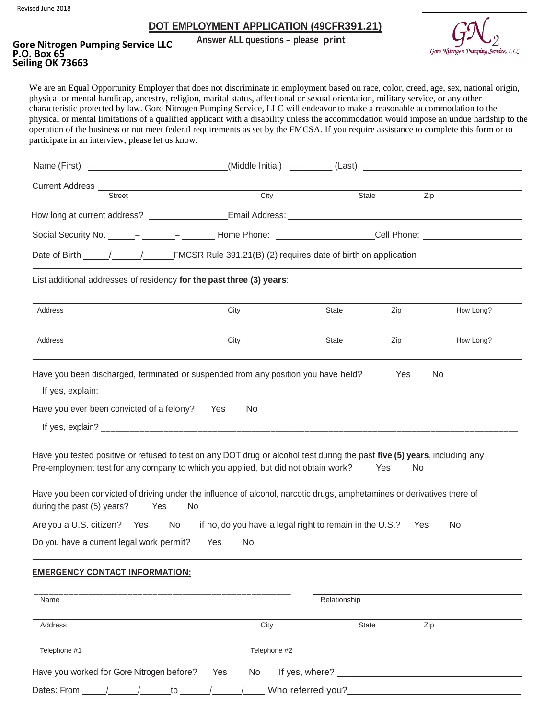Revised June 2018

#### **DOT EMPLOYMENT APPLICATION (49CFR391.21)**

# **Answer ALL questions – please print Gore Nitrogen Pumping Service LLC Seiling OK 73663**



We are an Equal Opportunity Employer that does not discriminate in employment based on race, color, creed, age, sex, national origin, physical or mental handicap, ancestry, religion, marital status, affectional or sexual orientation, military service, or any other characteristic protected by law. Gore Nitrogen Pumping Service, LLC will endeavor to make a reasonable accommodation to the physical or mental limitations of a qualified applicant with a disability unless the accommodation would impose an undue hardship to the operation of the business or not meet federal requirements as set by the FMCSA. If you require assistance to complete this form or to participate in an interview, please let us know.

| Current Address __                            |                                                                                                                                                                                                                                                                                                                                            |              |            |                 |
|-----------------------------------------------|--------------------------------------------------------------------------------------------------------------------------------------------------------------------------------------------------------------------------------------------------------------------------------------------------------------------------------------------|--------------|------------|-----------------|
| Street                                        | City                                                                                                                                                                                                                                                                                                                                       |              | State      | Zip             |
|                                               |                                                                                                                                                                                                                                                                                                                                            |              |            |                 |
|                                               | Social Security No. ______- ________- _________ Home Phone: _____________________Cell Phone: _________________                                                                                                                                                                                                                             |              |            |                 |
|                                               | Date of Birth 1 1 FMCSR Rule 391.21(B) (2) requires date of birth on application                                                                                                                                                                                                                                                           |              |            |                 |
|                                               | List additional addresses of residency for the past three (3) years:                                                                                                                                                                                                                                                                       |              |            |                 |
| <b>Address</b>                                | City                                                                                                                                                                                                                                                                                                                                       | <b>State</b> | Zip        | How Long?       |
|                                               |                                                                                                                                                                                                                                                                                                                                            |              |            |                 |
| Address                                       | City<br>Have you been discharged, terminated or suspended from any position you have held?                                                                                                                                                                                                                                                 | State        | Zip<br>Yes | How Long?<br>No |
|                                               | If yes, explain: <u>example and the set of the set of the set of the set of the set of the set of the set of the set of the set of the set of the set of the set of the set of the set of the set of the set of the set of the s</u><br>No                                                                                                 |              |            |                 |
| Have you ever been convicted of a felony? Yes | Have you tested positive or refused to test on any DOT drug or alcohol test during the past five (5) years, including any<br>Pre-employment test for any company to which you applied, but did not obtain work?<br>Have you been convicted of driving under the influence of alcohol, narcotic drugs, amphetamines or derivatives there of |              | Yes<br>No  |                 |
| during the past (5) years?<br>Yes             | No<br>Are you a U.S. citizen? Yes No if no, do you have a legal right to remain in the U.S.? Yes                                                                                                                                                                                                                                           |              |            | <b>No</b>       |

| Name<br>Relationship                                    |                      |       |     |  |
|---------------------------------------------------------|----------------------|-------|-----|--|
| Address                                                 | City                 | State | Zip |  |
| Telephone #1                                            | Telephone #2         |       |     |  |
| Have you worked for Gore Nitrogen before?<br><b>Yes</b> | If yes, where?<br>No |       |     |  |
| Dates: From<br>to                                       | Who referred you?    |       |     |  |

\_\_\_\_\_\_\_\_\_\_\_\_\_\_\_\_\_\_\_\_\_\_\_\_\_\_\_\_\_\_\_\_\_\_\_\_\_\_\_\_\_\_\_\_\_\_\_\_\_\_\_\_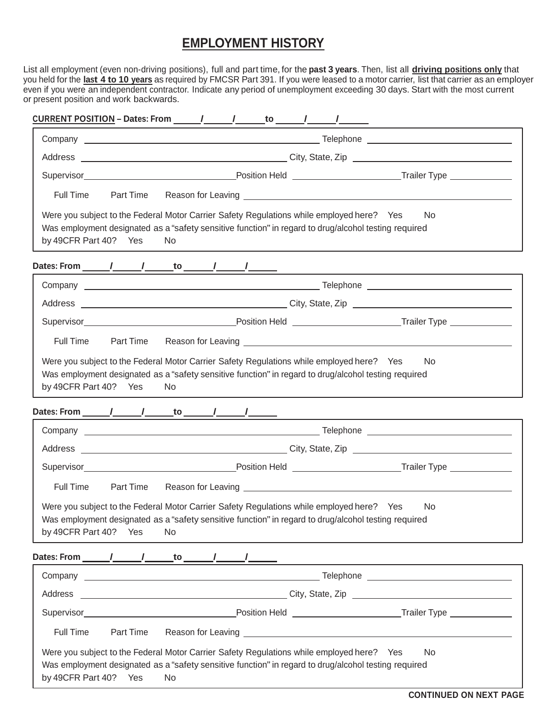## **EMPLOYMENT HISTORY**

List all employment (even non-driving positions), full and part time, for the **past 3 years**. Then, list all **driving positions only** that you held for the **last 4 to 10 years** as required by FMCSR Part 391. If you were leased to a motor carrier, list that carrier as an employer even if you were an independent contractor. Indicate any period of unemployment exceeding 30 days. Start with the most current or present position and work backwards.

| Full Time<br>Part Time |                                                                                                                                                                                                                                |     |  |  |  |  |
|------------------------|--------------------------------------------------------------------------------------------------------------------------------------------------------------------------------------------------------------------------------|-----|--|--|--|--|
| by 49CFR Part 40? Yes  | Were you subject to the Federal Motor Carrier Safety Regulations while employed here? Yes<br>Was employment designated as a "safety sensitive function" in regard to drug/alcohol testing required<br>No                       | No. |  |  |  |  |
|                        |                                                                                                                                                                                                                                |     |  |  |  |  |
|                        |                                                                                                                                                                                                                                |     |  |  |  |  |
|                        |                                                                                                                                                                                                                                |     |  |  |  |  |
|                        |                                                                                                                                                                                                                                |     |  |  |  |  |
| Full Time<br>Part Time |                                                                                                                                                                                                                                |     |  |  |  |  |
| by 49CFR Part 40? Yes  | Was employment designated as a "safety sensitive function" in regard to drug/alcohol testing required<br>N <sub>o</sub>                                                                                                        |     |  |  |  |  |
|                        |                                                                                                                                                                                                                                |     |  |  |  |  |
|                        |                                                                                                                                                                                                                                |     |  |  |  |  |
|                        |                                                                                                                                                                                                                                |     |  |  |  |  |
| Full Time Part Time    |                                                                                                                                                                                                                                |     |  |  |  |  |
|                        | Were you subject to the Federal Motor Carrier Safety Regulations while employed here? Yes                                                                                                                                      |     |  |  |  |  |
| by 49CFR Part 40?      | Was employment designated as a "safety sensitive function" in regard to drug/alcohol testing required<br>Yes<br>No.                                                                                                            | No. |  |  |  |  |
|                        |                                                                                                                                                                                                                                |     |  |  |  |  |
|                        |                                                                                                                                                                                                                                |     |  |  |  |  |
|                        |                                                                                                                                                                                                                                |     |  |  |  |  |
|                        |                                                                                                                                                                                                                                |     |  |  |  |  |
| Part Time<br>Full Time | Reason for Leaving Leaving and the state of the state of the state of the state of the state of the state of the state of the state of the state of the state of the state of the state of the state of the state of the state |     |  |  |  |  |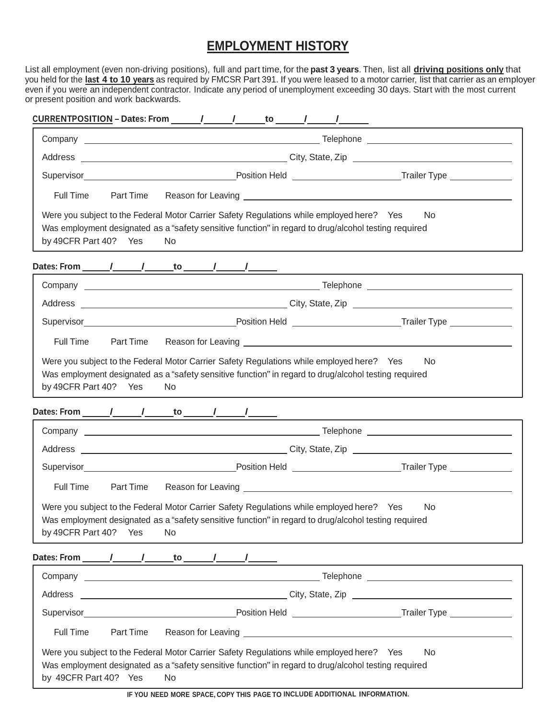## **EMPLOYMENT HISTORY**

List all employment (even non-driving positions), full and part time, for the **past 3 years**. Then, list all **driving positions only** that you held for the **last 4 to 10 years** as required by FMCSR Part 391. If you were leased to a motor carrier, list that carrier as an employer even if you were an independent contractor. Indicate any period of unemployment exceeding 30 days. Start with the most current or present position and work backwards.

| Full Time             | Part Time                                                                                                                                                                                                                   |  |  |  |  |  |
|-----------------------|-----------------------------------------------------------------------------------------------------------------------------------------------------------------------------------------------------------------------------|--|--|--|--|--|
| by 49CFR Part 40? Yes | Were you subject to the Federal Motor Carrier Safety Regulations while employed here? Yes<br>No.<br>Was employment designated as a "safety sensitive function" in regard to drug/alcohol testing required<br>N <sub>o</sub> |  |  |  |  |  |
|                       |                                                                                                                                                                                                                             |  |  |  |  |  |
|                       |                                                                                                                                                                                                                             |  |  |  |  |  |
|                       |                                                                                                                                                                                                                             |  |  |  |  |  |
|                       |                                                                                                                                                                                                                             |  |  |  |  |  |
| Full Time             | Part Time                                                                                                                                                                                                                   |  |  |  |  |  |
| by 49CFR Part 40? Yes | N <sub>o</sub>                                                                                                                                                                                                              |  |  |  |  |  |
|                       |                                                                                                                                                                                                                             |  |  |  |  |  |
|                       |                                                                                                                                                                                                                             |  |  |  |  |  |
|                       |                                                                                                                                                                                                                             |  |  |  |  |  |
|                       |                                                                                                                                                                                                                             |  |  |  |  |  |
| Full Time             | Part Time                                                                                                                                                                                                                   |  |  |  |  |  |
| by 49CFR Part 40? Yes | Were you subject to the Federal Motor Carrier Safety Regulations while employed here? Yes<br>No.<br>Was employment designated as a "safety sensitive function" in regard to drug/alcohol testing required<br>No.            |  |  |  |  |  |
|                       |                                                                                                                                                                                                                             |  |  |  |  |  |
|                       |                                                                                                                                                                                                                             |  |  |  |  |  |
|                       |                                                                                                                                                                                                                             |  |  |  |  |  |
|                       |                                                                                                                                                                                                                             |  |  |  |  |  |
| <b>Full Time</b>      | Part Time                                                                                                                                                                                                                   |  |  |  |  |  |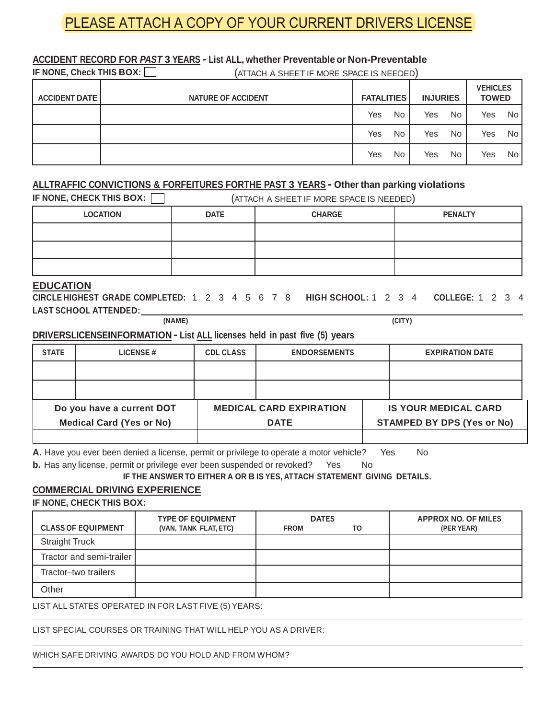# PLEASE ATTACH A COPY OF YOUR CURRENT DRIVERS LICENSE

#### **ACCIDENT RECORD FOR** *PAST* **3 YEARS - List ALL, whether Preventable or Non-Preventable**

**IF NONE, Check THIS BOX:**  $\Box$  (ATTACH A SHEET IF MORE SPACE IS NEEDED)

| <b>ACCIDENT DATE</b> | <b>NATURE OF ACCIDENT</b> | <b>FATALITIES</b> |           | <b>INJURIES</b> |     |     | <b>VEHICLES</b><br><b>TOWED</b> |  |
|----------------------|---------------------------|-------------------|-----------|-----------------|-----|-----|---------------------------------|--|
|                      |                           | Yes               | <b>No</b> | Yes             | No  | Yes | No                              |  |
|                      |                           | Yes               | <b>No</b> | Yes             | No  | Yes | No.                             |  |
|                      |                           | Yes               | No.       | Yes             | No. | Yes | No.                             |  |

#### **ALLTRAFFIC CONVICTIONS & FORFEITURES FORTHE PAST 3 YEARS - Other than parking violations**

| IF NONE, CHECK THIS BOX: |             | (ATTACH A SHEET IF MORE SPACE IS NEEDED) |                |
|--------------------------|-------------|------------------------------------------|----------------|
| <b>LOCATION</b>          | <b>DATE</b> | <b>CHARGE</b>                            | <b>PENALTY</b> |
|                          |             |                                          |                |
|                          |             |                                          |                |
|                          |             |                                          |                |

#### **EDUCATION**

**CIRCLE HIGHEST GRADE COMPLETED:** 1 2 3 4 5 6 7 8 **HIGH SCHOOL:** 1 2 3 4 **COLLEGE:** 1 2 3 4 **LAST SCHOOL ATTENDED:**

**(NAME) (CITY)**

#### **DRIVERSLICENSEINFORMATION - List ALL licenses held in past five (5) years**

| <b>STATE</b> | <b>LICENSE#</b>                                              | <b>CDL CLASS</b> | <b>ENDORSEMENTS</b>                           | <b>EXPIRATION DATE</b>                                           |
|--------------|--------------------------------------------------------------|------------------|-----------------------------------------------|------------------------------------------------------------------|
|              |                                                              |                  |                                               |                                                                  |
|              |                                                              |                  |                                               |                                                                  |
|              | Do you have a current DOT<br><b>Medical Card (Yes or No)</b> |                  | <b>MEDICAL CARD EXPIRATION</b><br><b>DATE</b> | <b>IS YOUR MEDICAL CARD</b><br><b>STAMPED BY DPS (Yes or No)</b> |
|              |                                                              |                  |                                               |                                                                  |

**A.** Have you ever been denied a license, permit or privilege to operate a motor vehicle? Yes No

**b.** Has any license, permit or privilege ever been suspended or revoked? Yes No

**IF THE ANSWER TO EITHER A OR B IS YES, ATTACH STATEMENT GIVING DETAILS.**

## **COMMERCIAL DRIVING EXPERIENCE**

**IF NONE, CHECK THIS BOX:**

|                           | <b>TYPE OF EQUIPMENT</b> | <b>DATES</b> |    | <b>APPROX NO. OF MILES</b> |
|---------------------------|--------------------------|--------------|----|----------------------------|
| <b>CLASS OF EQUIPMENT</b> | (VAN, TANK FLAT, ETC)    | <b>FROM</b>  | то | (PER YEAR)                 |
| <b>Straight Truck</b>     |                          |              |    |                            |
| Tractor and semi-trailer  |                          |              |    |                            |
| Tractor-two trailers      |                          |              |    |                            |
| Other                     |                          |              |    |                            |

LIST ALL STATES OPERATED IN FOR LAST FIVE (5) YEARS:

LIST SPECIAL COURSES OR TRAINING THAT WILL HELP YOU AS A DRIVER:

#### WHICH SAFE DRIVING AWARDS DO YOU HOLD AND FROM WHOM?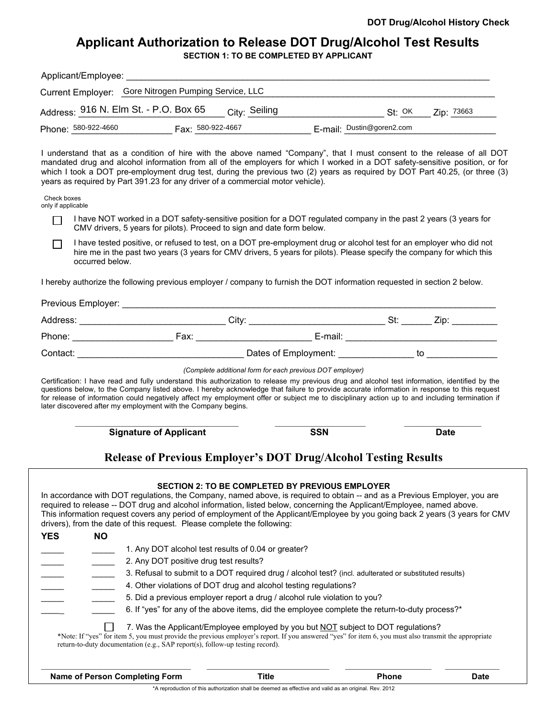# **Applicant Authorization to Release DOT Drug/Alcohol Test Results**

| Applicant/Employee: |                                                                   |                           |            |
|---------------------|-------------------------------------------------------------------|---------------------------|------------|
|                     | Current Employer: Gore Nitrogen Pumping Service, LLC              |                           |            |
|                     | Address: 916 N. Elm St. - P.O. Box 65<br><sub>Citv:</sub> Seiling | St: <sup>OK</sup>         | Zip: 73663 |
| Phone: 580-922-4660 | Fax: 580-922-4667                                                 | E-mail: Dustin@goren2.com |            |
|                     |                                                                   |                           |            |

I understand that as a condition of hire with the above named "Company", that I must consent to the release of all DOT mandated drug and alcohol information from all of the employers for which I worked in a DOT safety-sensitive position, or for which I took a DOT pre-employment drug test, during the previous two (2) years as required by DOT Part 40.25, (or three (3) years as required by Part 391.23 for any driver of a commercial motor vehicle).

|  | Check boxes |
|--|-------------|
|  | .           |

only if applicable

- I have NOT worked in a DOT safety-sensitive position for a DOT regulated company in the past 2 years (3 years for П CMV drivers, 5 years for pilots). Proceed to sign and date form below.
- I have tested positive, or refused to test, on a DOT pre-employment drug or alcohol test for an employer who did not П hire me in the past two years (3 years for CMV drivers, 5 years for pilots). Please specify the company for which this occurred below.

I hereby authorize the following previous employer / company to furnish the DOT information requested in section 2 below.

Previous Employer: Address: \_\_\_\_\_\_\_\_\_\_\_\_\_\_\_\_\_\_\_\_\_\_\_\_\_\_\_\_\_\_\_\_\_City: \_\_\_\_\_\_\_\_\_\_\_\_\_\_\_\_\_\_\_\_\_\_\_\_\_\_\_\_\_\_\_\_\_St: \_\_\_\_\_\_\_\_\_ Zip: \_\_\_\_\_\_\_\_\_\_ Phone: \_\_\_\_\_\_\_\_\_\_\_\_\_\_\_\_\_\_\_\_ Fax: \_\_\_\_\_\_\_\_\_\_\_\_\_\_\_\_\_\_\_\_\_\_\_ E-mail: \_\_\_\_\_\_\_\_\_\_\_\_\_\_\_\_\_\_\_\_\_\_\_\_\_\_\_\_\_\_ Contact: \_\_\_\_\_\_\_\_\_\_\_\_\_\_\_\_\_\_\_\_\_\_\_\_\_\_\_\_\_\_\_\_\_ Dates of Employment: \_\_\_\_\_\_\_\_\_\_\_\_\_\_\_ to \_\_\_\_\_\_\_\_\_\_\_\_\_\_

*(Complete additional form for each previous DOT employer)*

Certification: I have read and fully understand this authorization to release my previous drug and alcohol test information, identified by the questions below, to the Company listed above. I hereby acknowledge that failure to provide accurate information in response to this request for release of information could negatively affect my employment offer or subject me to disciplinary action up to and including termination if later discovered after my employment with the Company begins.

\_\_\_\_\_\_\_\_\_\_\_\_\_\_\_\_\_\_\_\_\_\_\_\_\_\_\_\_\_\_\_\_\_\_\_\_ \_\_\_\_\_\_\_\_\_\_\_\_\_\_\_\_\_\_\_\_ \_\_\_\_\_\_\_\_\_\_\_\_\_\_\_\_\_ **Signature of Applicant CONSIDERED SSN Date** 

## **Release of Previous Employer's DOT Drug/Alcohol Testing Results**

|                   | This information request covers any period of employment of the Applicant/Employee by you going back 2 years (3 years for CMV<br>drivers), from the date of this request. Please complete the following:                               |                                                                                                        |  |
|-------------------|----------------------------------------------------------------------------------------------------------------------------------------------------------------------------------------------------------------------------------------|--------------------------------------------------------------------------------------------------------|--|
| <b>YES</b><br>NO. |                                                                                                                                                                                                                                        |                                                                                                        |  |
|                   | 1. Any DOT alcohol test results of 0.04 or greater?                                                                                                                                                                                    |                                                                                                        |  |
|                   | 2. Any DOT positive drug test results?                                                                                                                                                                                                 |                                                                                                        |  |
|                   |                                                                                                                                                                                                                                        | 3. Refusal to submit to a DOT required drug / alcohol test? (incl. adulterated or substituted results) |  |
|                   | 4. Other violations of DOT drug and alcohol testing regulations?                                                                                                                                                                       |                                                                                                        |  |
|                   | 5. Did a previous employer report a drug / alcohol rule violation to you?                                                                                                                                                              |                                                                                                        |  |
|                   |                                                                                                                                                                                                                                        | 6. If "yes" for any of the above items, did the employee complete the return-to-duty process?*         |  |
|                   | *Note: If "yes" for item 5, you must provide the previous employer's report. If you answered "yes" for item 6, you must also transmit the appropriate<br>return-to-duty documentation (e.g., SAP report(s), follow-up testing record). | 7. Was the Applicant/Employee employed by you but NOT subject to DOT regulations?                      |  |
|                   |                                                                                                                                                                                                                                        |                                                                                                        |  |

\*A reproduction of this authorization shall be deemed as effective and valid as an original. Rev. 2012